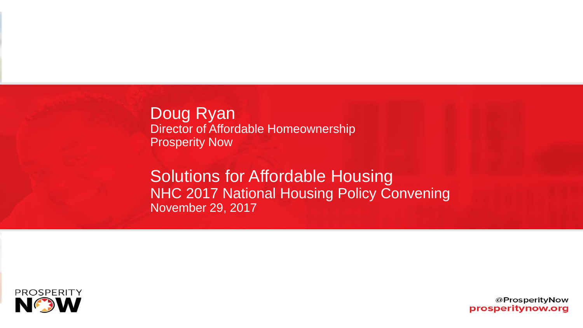Doug Ryan Director of Affordable Homeownership Prosperity Now

Solutions for Affordable Housing NHC 2017 National Housing Policy Convening November 29, 2017

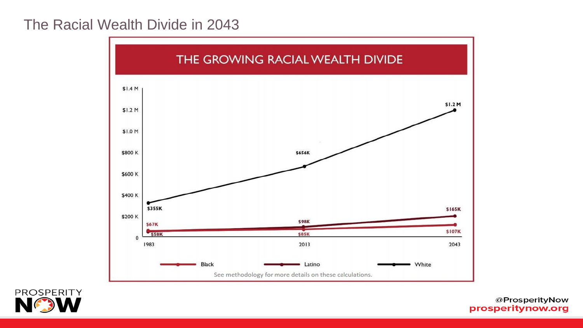### The Racial Wealth Divide in 2043



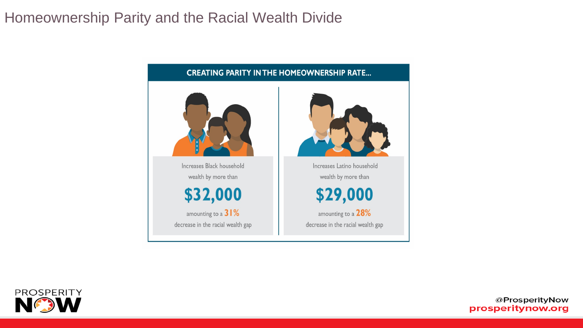### Homeownership Parity and the Racial Wealth Divide



**CREATING PARITY IN THE HOMEOWNERSHIP RATE...** 

\$32,000

\$29,000

amounting to a  $28\%$ 

decrease in the racial wealth gap

amounting to a  $31%$ decrease in the racial wealth gap

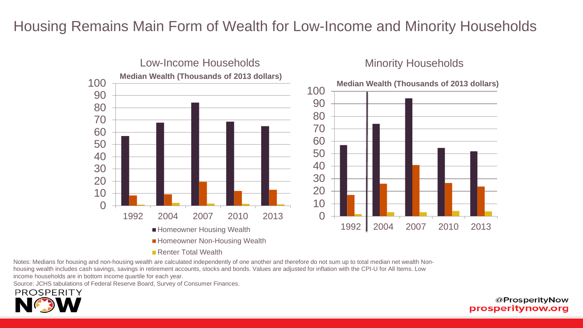## Housing Remains Main Form of Wealth for Low-Income and Minority Households



Notes: Medians for housing and non-housing wealth are calculated independently of one another and therefore do not sum up to total median net wealth Nonhousing wealth includes cash savings, savings in retirement accounts, stocks and bonds. Values are adjusted for inflation with the CPI-U for All Items. Low income households are in bottom income quartile for each year.

Source: JCHS tabulations of Federal Reserve Board, Survey of Consumer Finances.

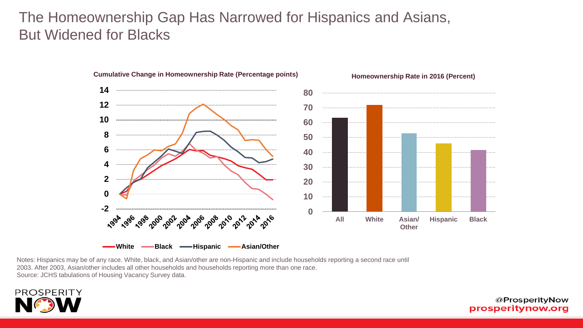## The Homeownership Gap Has Narrowed for Hispanics and Asians, But Widened for Blacks

**Cumulative Change in Homeownership Rate (Percentage points)**



#### **Homeownership Rate in 2016 (Percent)**

Notes: Hispanics may be of any race. White, black, and Asian/other are non-Hispanic and include households reporting a second race until 2003. After 2003, Asian/other includes all other households and households reporting more than one race. Source: JCHS tabulations of Housing Vacancy Survey data.

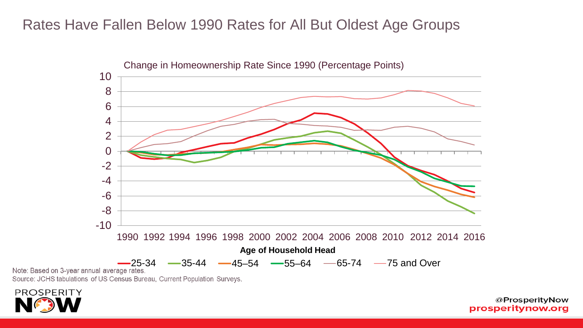### Rates Have Fallen Below 1990 Rates for All But Oldest Age Groups



Source: JCHS tabulations of US Census Bureau, Current Population Surveys.

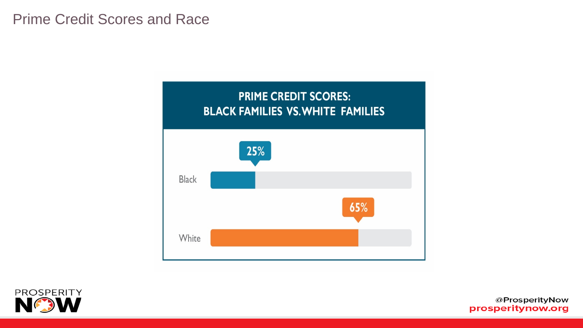

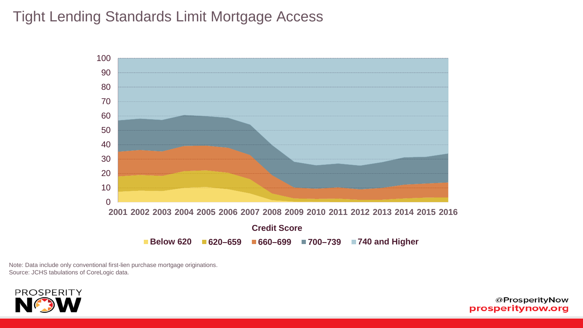## Tight Lending Standards Limit Mortgage Access



Note: Data include only conventional first-lien purchase mortgage originations. Source: JCHS tabulations of CoreLogic data.

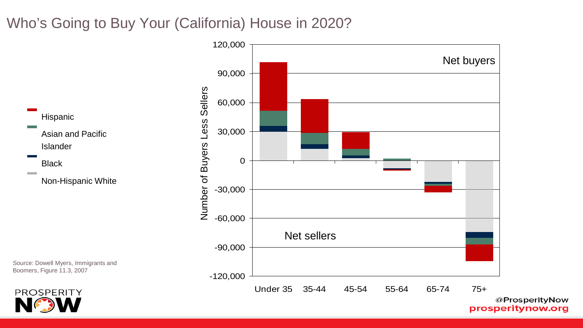# Who's Going to Buy Your (California) House in 2020?



prosperitynow.org